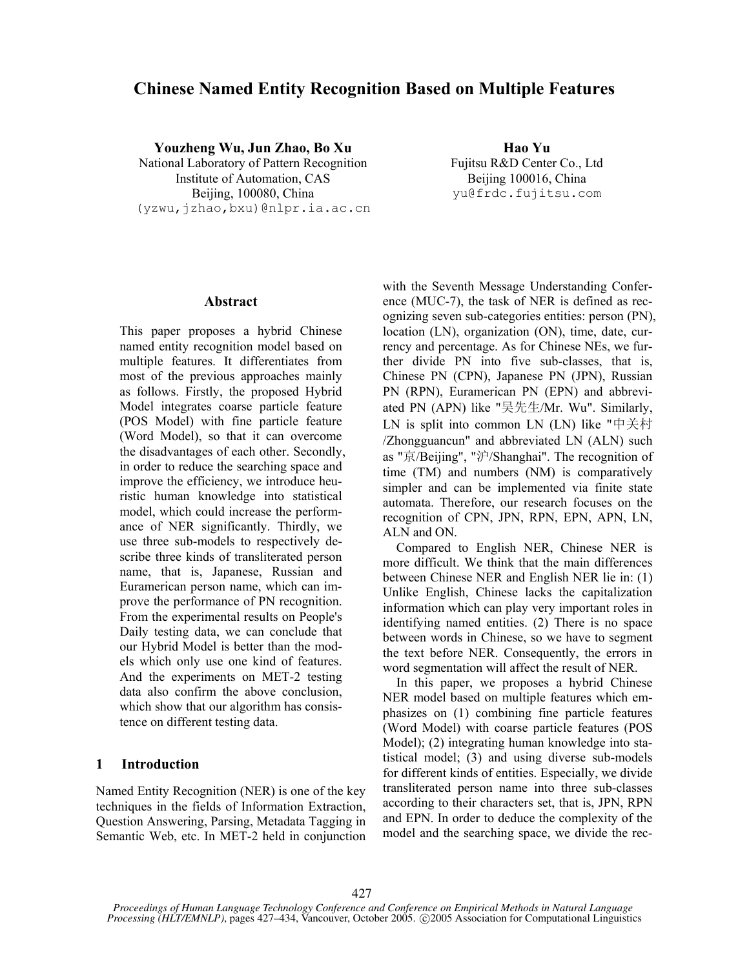# **Chinese Named Entity Recognition Based on Multiple Features**

**Youzheng Wu, Jun Zhao, Bo Xu Hao Yu**

National Laboratory of Pattern Recognition Fujitsu R&D Center Co., Ltd Institute of Automation, CAS Beijing 100016, China Beijing, 100080, China yu@frdc.fujitsu.com (yzwu,jzhao,bxu)@nlpr.ia.ac.cn

## **Abstract**

This paper proposes a hybrid Chinese named entity recognition model based on multiple features. It differentiates from most of the previous approaches mainly as follows. Firstly, the proposed Hybrid Model integrates coarse particle feature (POS Model) with fine particle feature (Word Model), so that it can overcome the disadvantages of each other. Secondly, in order to reduce the searching space and improve the efficiency, we introduce heuristic human knowledge into statistical model, which could increase the performance of NER significantly. Thirdly, we use three sub-models to respectively describe three kinds of transliterated person name, that is, Japanese, Russian and Euramerican person name, which can improve the performance of PN recognition. From the experimental results on People's Daily testing data, we can conclude that our Hybrid Model is better than the models which only use one kind of features. And the experiments on MET-2 testing data also confirm the above conclusion, which show that our algorithm has consistence on different testing data.

# **1 Introduction**

Named Entity Recognition (NER) is one of the key techniques in the fields of Information Extraction, Question Answering, Parsing, Metadata Tagging in Semantic Web, etc. In MET-2 held in conjunction with the Seventh Message Understanding Conference (MUC-7), the task of NER is defined as recognizing seven sub-categories entities: person (PN), location (LN), organization (ON), time, date, currency and percentage. As for Chinese NEs, we further divide PN into five sub-classes, that is, Chinese PN (CPN), Japanese PN (JPN), Russian PN (RPN), Euramerican PN (EPN) and abbreviated PN (APN) like "吴先生/Mr. Wu". Similarly, LN is split into common LN (LN) like "中关村 /Zhongguancun" and abbreviated LN (ALN) such as "京/Beijing", "沪/Shanghai". The recognition of time (TM) and numbers (NM) is comparatively simpler and can be implemented via finite state automata. Therefore, our research focuses on the recognition of CPN, JPN, RPN, EPN, APN, LN, ALN and ON.

Compared to English NER, Chinese NER is more difficult. We think that the main differences between Chinese NER and English NER lie in: (1) Unlike English, Chinese lacks the capitalization information which can play very important roles in identifying named entities. (2) There is no space between words in Chinese, so we have to segment the text before NER. Consequently, the errors in word segmentation will affect the result of NER.

In this paper, we proposes a hybrid Chinese NER model based on multiple features which emphasizes on (1) combining fine particle features (Word Model) with coarse particle features (POS Model); (2) integrating human knowledge into statistical model; (3) and using diverse sub-models for different kinds of entities. Especially, we divide transliterated person name into three sub-classes according to their characters set, that is, JPN, RPN and EPN. In order to deduce the complexity of the model and the searching space, we divide the rec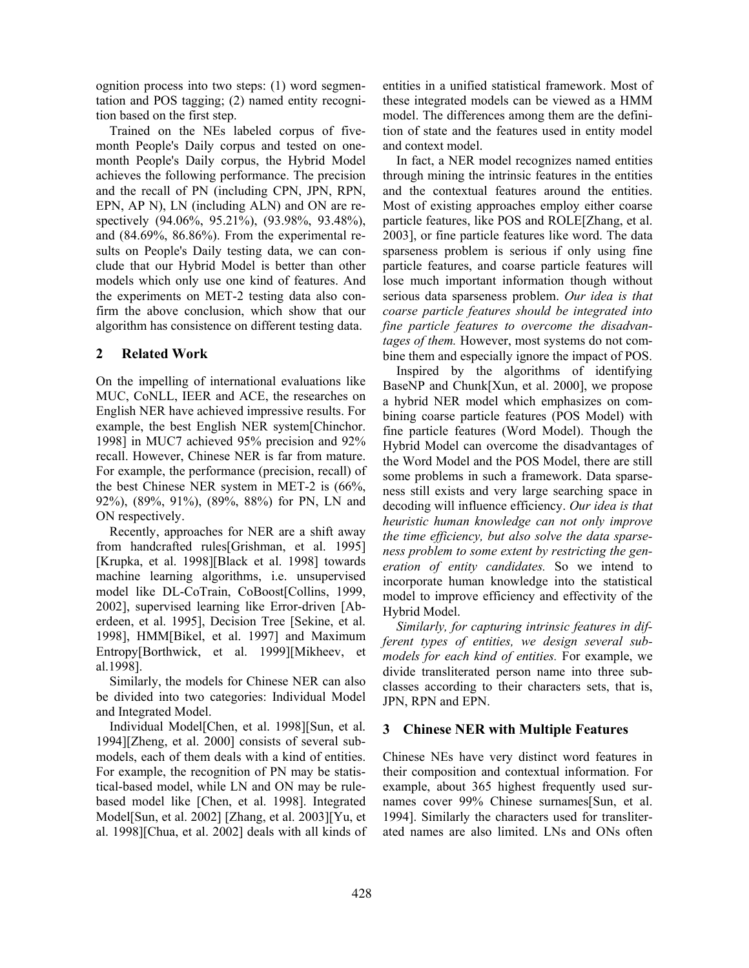ognition process into two steps: (1) word segmentation and POS tagging; (2) named entity recognition based on the first step.

Trained on the NEs labeled corpus of fivemonth People's Daily corpus and tested on onemonth People's Daily corpus, the Hybrid Model achieves the following performance. The precision and the recall of PN (including CPN, JPN, RPN, EPN, AP N), LN (including ALN) and ON are respectively (94.06%, 95.21%), (93.98%, 93.48%), and (84.69%, 86.86%). From the experimental results on People's Daily testing data, we can conclude that our Hybrid Model is better than other models which only use one kind of features. And the experiments on MET-2 testing data also confirm the above conclusion, which show that our algorithm has consistence on different testing data.

# **2 Related Work**

On the impelling of international evaluations like MUC, CoNLL, IEER and ACE, the researches on English NER have achieved impressive results. For example, the best English NER system[Chinchor. 1998] in MUC7 achieved 95% precision and 92% recall. However, Chinese NER is far from mature. For example, the performance (precision, recall) of the best Chinese NER system in MET-2 is (66%, 92%), (89%, 91%), (89%, 88%) for PN, LN and ON respectively.

Recently, approaches for NER are a shift away from handcrafted rules[Grishman, et al. 1995] [Krupka, et al. 1998][Black et al. 1998] towards machine learning algorithms, i.e. unsupervised model like DL-CoTrain, CoBoost[Collins, 1999, 2002], supervised learning like Error-driven [Aberdeen, et al. 1995], Decision Tree [Sekine, et al. 1998], HMM[Bikel, et al. 1997] and Maximum Entropy[Borthwick, et al. 1999][Mikheev, et al.1998].

Similarly, the models for Chinese NER can also be divided into two categories: Individual Model and Integrated Model.

Individual Model[Chen, et al. 1998][Sun, et al. 1994][Zheng, et al. 2000] consists of several submodels, each of them deals with a kind of entities. For example, the recognition of PN may be statistical-based model, while LN and ON may be rulebased model like [Chen, et al. 1998]. Integrated Model[Sun, et al. 2002] [Zhang, et al. 2003][Yu, et al. 1998][Chua, et al. 2002] deals with all kinds of entities in a unified statistical framework. Most of these integrated models can be viewed as a HMM model. The differences among them are the definition of state and the features used in entity model and context model.

In fact, a NER model recognizes named entities through mining the intrinsic features in the entities and the contextual features around the entities. Most of existing approaches employ either coarse particle features, like POS and ROLE[Zhang, et al. 2003], or fine particle features like word. The data sparseness problem is serious if only using fine particle features, and coarse particle features will lose much important information though without serious data sparseness problem. *Our idea is that coarse particle features should be integrated into fine particle features to overcome the disadvantages of them.* However, most systems do not combine them and especially ignore the impact of POS.

Inspired by the algorithms of identifying BaseNP and Chunk[Xun, et al. 2000], we propose a hybrid NER model which emphasizes on combining coarse particle features (POS Model) with fine particle features (Word Model). Though the Hybrid Model can overcome the disadvantages of the Word Model and the POS Model, there are still some problems in such a framework. Data sparseness still exists and very large searching space in decoding will influence efficiency. *Our idea is that heuristic human knowledge can not only improve the time efficiency, but also solve the data sparseness problem to some extent by restricting the generation of entity candidates.* So we intend to incorporate human knowledge into the statistical model to improve efficiency and effectivity of the Hybrid Model.

*Similarly, for capturing intrinsic features in different types of entities, we design several submodels for each kind of entities.* For example, we divide transliterated person name into three subclasses according to their characters sets, that is, JPN, RPN and EPN.

# **3 Chinese NER with Multiple Features**

Chinese NEs have very distinct word features in their composition and contextual information. For example, about 365 highest frequently used surnames cover 99% Chinese surnames[Sun, et al. 1994]. Similarly the characters used for transliterated names are also limited. LNs and ONs often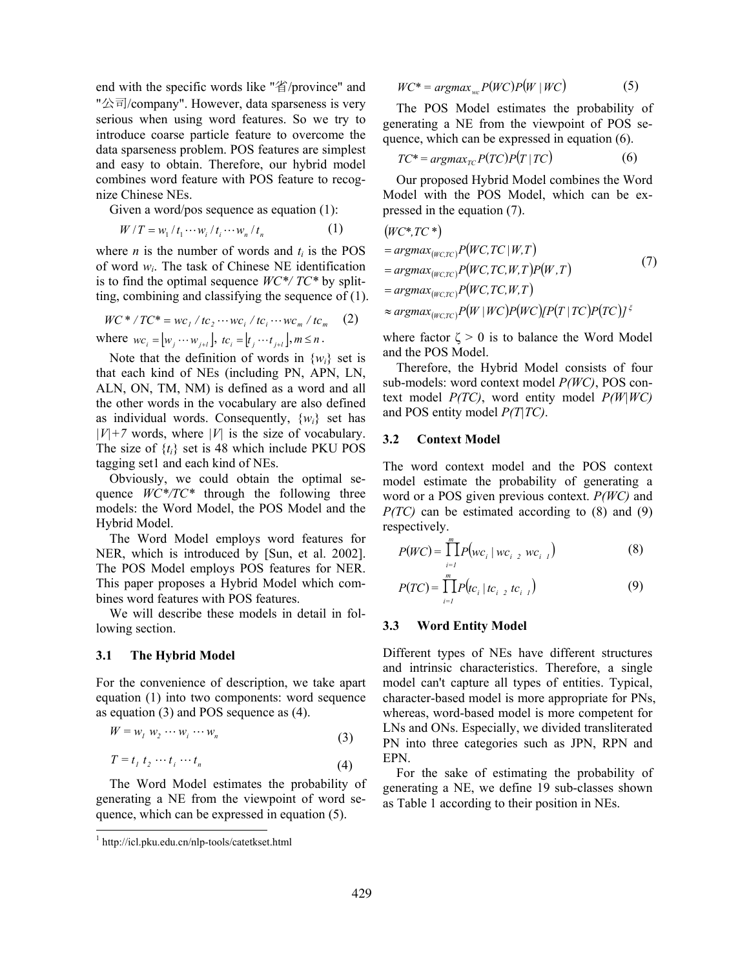end with the specific words like "省/province" and "公司/company". However, data sparseness is very serious when using word features. So we try to introduce coarse particle feature to overcome the data sparseness problem. POS features are simplest and easy to obtain. Therefore, our hybrid model combines word feature with POS feature to recognize Chinese NEs.

Given a word/pos sequence as equation (1):

$$
W/T = w_1 / t_1 \cdots w_i / t_i \cdots w_n / t_n \tag{1}
$$

where *n* is the number of words and  $t_i$  is the POS of word *wi*. The task of Chinese NE identification is to find the optimal sequence *WC\*/ TC\** by splitting, combining and classifying the sequence of (1).

*WC* \* */TC* \* = *wc*<sub>1</sub> / *tc*<sub>2</sub> ··· *wc*<sub>i</sub> / *tc*<sub>i</sub> ··· *wc*<sub>m</sub> / *tc*<sub>m</sub> (2)  
where 
$$
wc_i = [w_j \cdots w_{j+l}], t c_i = [t_j \cdots t_{j+l}], m \le n
$$
.

Note that the definition of words in  $\{w_i\}$  set is that each kind of NEs (including PN, APN, LN, ALN, ON, TM, NM) is defined as a word and all the other words in the vocabulary are also defined as individual words. Consequently, {*wi*} set has *|V|+7* words, where *|V|* is the size of vocabulary. The size of  $\{t_i\}$  set is 48 which include PKU POS tagging set1 and each kind of NEs.

Obviously, we could obtain the optimal sequence *WC\*/TC\** through the following three models: the Word Model, the POS Model and the Hybrid Model.

The Word Model employs word features for NER, which is introduced by [Sun, et al. 2002]. The POS Model employs POS features for NER. This paper proposes a Hybrid Model which combines word features with POS features.

We will describe these models in detail in following section.

#### **3.1 The Hybrid Model**

For the convenience of description, we take apart equation (1) into two components: word sequence as equation (3) and POS sequence as (4).

$$
W = w_1 \ w_2 \cdots w_i \cdots w_n \tag{3}
$$

$$
T = t_1 \ t_2 \ \cdots \ t_i \ \cdots \ t_n \tag{4}
$$

The Word Model estimates the probability of generating a NE from the viewpoint of word sequence, which can be expressed in equation (5).

 $\overline{a}$ 

$$
WC^* = \operatorname{argmax}_{wc} P(WC) P(W \mid WC)
$$
 (5)

The POS Model estimates the probability of generating a NE from the viewpoint of POS sequence, which can be expressed in equation (6).

$$
TC^* = argmax_{TC} P(TC)P(T|TC)
$$
 (6)

Our proposed Hybrid Model combines the Word Model with the POS Model, which can be expressed in the equation (7).

$$
(WC^*, TC^*)
$$
  
= argmax<sub>(WC,TC)</sub> P(WC, TC | W, T)  
= argmax<sub>(WC,TC)</sub> P(WC, TC, W, T) P(W, T)  
= argmax<sub>(WC,TC)</sub> P(WC, TC, W, T)  

$$
\approx argmax_{(WC,TC)} P(W | WC) P(WC) [P(T | TC) P(TC)]^{\xi}
$$
 (7)

where factor  $\zeta > 0$  is to balance the Word Model and the POS Model.

Therefore, the Hybrid Model consists of four sub-models: word context model *P(WC)*, POS context model *P(TC)*, word entity model *P(W|WC)* and POS entity model *P(T|TC)*.

#### **3.2 Context Model**

The word context model and the POS context model estimate the probability of generating a word or a POS given previous context. *P(WC)* and *P(TC)* can be estimated according to (8) and (9) respectively.

$$
P(WC) = \prod_{i=1}^{m} P(wc_i \mid wc_{i-2} wc_{i-1})
$$
 (8)

$$
P(TC) = \prod_{i=1}^{m} P(tc_i | tc_{i-2} tc_{i-1})
$$
\n(9)

#### **3.3 Word Entity Model**

Different types of NEs have different structures and intrinsic characteristics. Therefore, a single model can't capture all types of entities. Typical, character-based model is more appropriate for PNs, whereas, word-based model is more competent for LNs and ONs. Especially, we divided transliterated PN into three categories such as JPN, RPN and EPN.

For the sake of estimating the probability of generating a NE, we define 19 sub-classes shown as Table 1 according to their position in NEs.

<sup>1</sup> http://icl.pku.edu.cn/nlp-tools/catetkset.html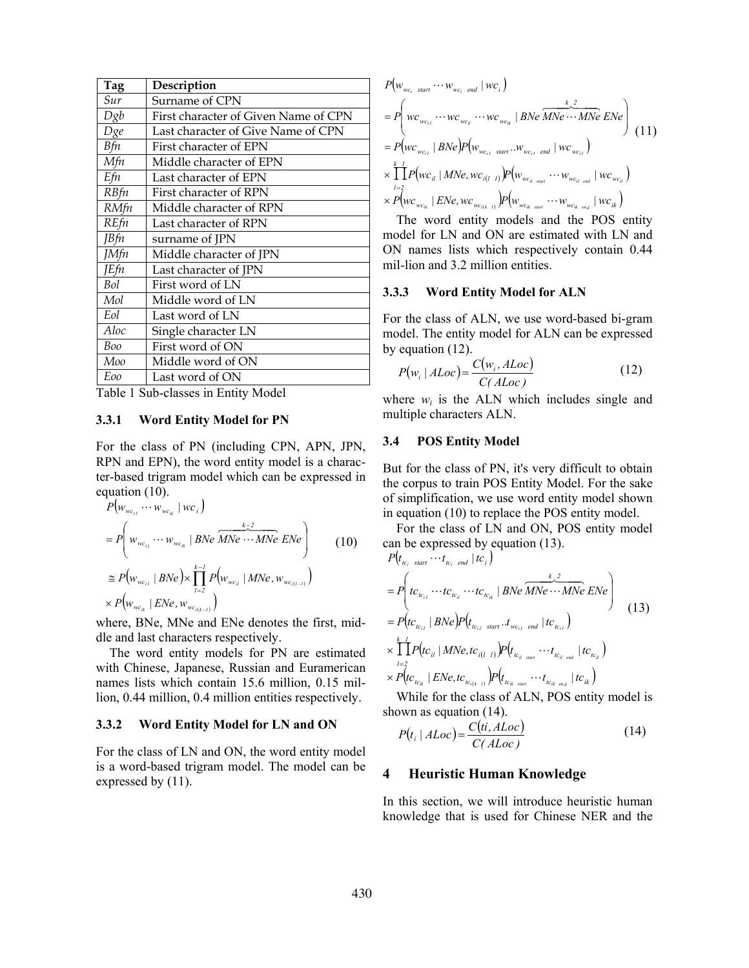| Tag         | Description                          |
|-------------|--------------------------------------|
| Sur         | Surname of CPN                       |
| Dg b        | First character of Given Name of CPN |
| Dge         | Last character of Give Name of CPN   |
| Вfn         | First character of EPN               |
| Mfn         | Middle character of EPN              |
| Efn         | Last character of EPN                |
| RBfn        | First character of RPN               |
| <b>RMfn</b> | Middle character of RPN              |
| REfn        | Last character of RPN                |
| JBfn        | surname of JPN                       |
| JMfn        | Middle character of JPN              |
| <b>JEfn</b> | Last character of JPN                |
| Bol         | First word of LN                     |
| Mol         | Middle word of LN                    |
| Eol         | Last word of LN                      |
| Aloc        | Single character LN                  |
| Boo         | First word of ON                     |
| Moo         | Middle word of ON                    |
| Eoo         | Last word of ON                      |

Table 1 Sub-classes in Entity Model

## **3.3.1 Word Entity Model for PN**

For the class of PN (including CPN, APN, JPN, RPN and EPN), the word entity model is a character-based trigram model which can be expressed in equation (10).

$$
P(w_{wc_{i1}} \cdots w_{wc_{ik}} | wc_{i})
$$
\n
$$
= P\left(w_{wc_{i1}} \cdots w_{wc_{ik}} | BNe \overline{MNe \cdots MNe} ENe\right)
$$
\n
$$
\cong P(w_{wc_{i1}} | BNe) \times \prod_{l=2}^{k-1} P(w_{wc_{il}} | MNe, w_{wc_{i(l-1)}})
$$
\n
$$
\times P(w_{wc_{ik}} | ENe, w_{wc_{i(k-1)}})
$$
\n(10)

where, BNe, MNe and ENe denotes the first, middle and last characters respectively.

The word entity models for PN are estimated with Chinese, Japanese, Russian and Euramerican names lists which contain 15.6 million, 0.15 million, 0.44 million, 0.4 million entities respectively.

## **3.3.2 Word Entity Model for LN and ON**

For the class of LN and ON, the word entity model is a word-based trigram model. The model can be expressed by  $(11)$ .

$$
P(w_{wc_i \text{ start}} \cdots w_{wc_i \text{ end}} | wc_i)
$$
\n
$$
= P\left( wc_{wc_{ii}} \cdots wc_{wc_{ii}} \cdots wc_{wc_{ik}} | BNe \overbrace{MNe \cdots MNe}^{k} ENe \right)
$$
\n
$$
= P(w_{wc_{vi}} | BNe) P(w_{wc_{ii} \text{ start}} \cdots w_{wc_{ii} \text{ end}} | wc_{wc_{ii}})
$$
\n
$$
\times \prod_{l=2}^{k} P(w_{C_{il}} | MNe, wc_{i(l-1)}) P(w_{wc_{il \text{ start}}} \cdots w_{wc_{il \text{ end}}} | wc_{wc_{il}})
$$
\n
$$
\times P(w_{wc_{ik}} | ENe, wc_{vc_{i(k-1)}}) P(w_{wc_{ik \text{ start}}} \cdots w_{wc_{ik \text{ end}}} | wc_{ik})
$$

The word entity models and the POS entity model for LN and ON are estimated with LN and ON names lists which respectively contain 0.44 mil-lion and 3.2 million entities.

### **3.3.3 Word Entity Model for ALN**

For the class of ALN, we use word-based bi-gram model. The entity model for ALN can be expressed by equation (12).

$$
P(w_i | ALoc) = \frac{C(w_i, ALoc)}{C(ALoc)}
$$
 (12)

where  $w_i$  is the ALN which includes single and multiple characters ALN.

#### **3.4 POS Entity Model**

But for the class of PN, it's very difficult to obtain the corpus to train POS Entity Model. For the sake of simplification, we use word entity model shown in equation (10) to replace the POS entity model.

For the class of LN and ON, POS entity model can be expressed by equation (13).<br> $P(t \t int |tr)$ 

$$
P(t_{tc_{i}} \text{ start } \cdots t_{tc_{i}} \text{ end } |tc_{i})
$$
\n
$$
= P\left(t_{tc_{i}} \cdots t_{tc_{i}} \cdots t_{tc_{i}} | BNe \overline{MNe} \cdots MNe ENe\right)
$$
\n
$$
= P\left(t_{tc_{i}} | BNe\right)P\left(t_{tc_{i}} \text{ start } \cdot t_{wc_{i}} \text{ end } |tc_{tc_{i}}\right)
$$
\n
$$
\times \prod_{l=2}^{k} P\left(t_{ct_{i}} | MNe, tc_{i(l-1)}\right)P\left(t_{tc_{i}} \text{ start } \cdots t_{tc_{i}} \text{ end } |tc_{tc_{i}}\right)
$$
\n
$$
\times P\left(t_{tc_{i}} | ENe, tc_{ic_{i(k-1)}}\right)P\left(t_{tc_{i}} \text{ start } \cdots t_{tc_{i}} \text{ end } |tc_{tc_{i}}\right)
$$
\n
$$
= \sum_{l=1}^{k} P\left(t_{tc_{i}} | ENe, tc_{ic_{i(k-1)}}\right)P\left(t_{tc_{i}} \text{ start } \cdots t_{tc_{i}} \text{ end } |tc_{it}\right)
$$
\n
$$
= \sum_{l=1}^{k} P\left(t_{tc_{i}} | ENe, tc_{ic_{i(k-1)}}\right)P\left(t_{tc_{i}} \text{ start } \cdots t_{tc_{i}} \text{ end } |tc_{it}\right)
$$

While for the class of ALN, POS entity model is shown as equation (14).

$$
P(t_i | ALoc) = \frac{C(ti, ALoc)}{C(ALoc)}
$$
\n(14)

#### **4 Heuristic Human Knowledge**

In this section, we will introduce heuristic human knowledge that is used for Chinese NER and the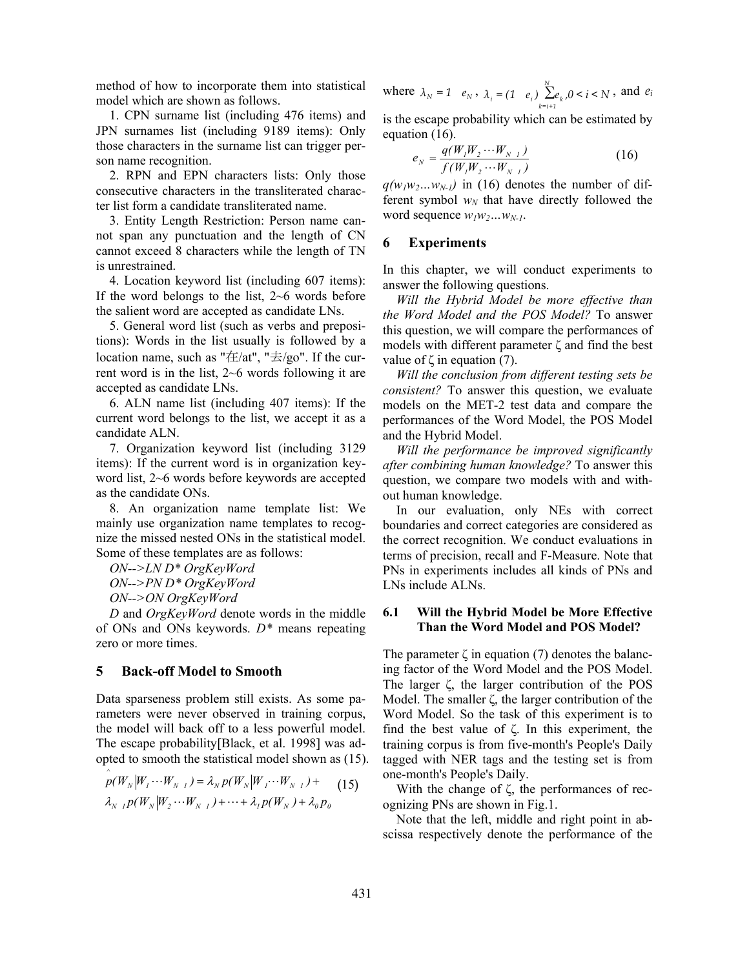method of how to incorporate them into statistical model which are shown as follows.

1. CPN surname list (including 476 items) and JPN surnames list (including 9189 items): Only those characters in the surname list can trigger person name recognition.

2. RPN and EPN characters lists: Only those consecutive characters in the transliterated character list form a candidate transliterated name.

3. Entity Length Restriction: Person name cannot span any punctuation and the length of CN cannot exceed 8 characters while the length of TN is unrestrained.

4. Location keyword list (including 607 items): If the word belongs to the list, 2~6 words before the salient word are accepted as candidate LNs.

5. General word list (such as verbs and prepositions): Words in the list usually is followed by a location name, such as " $\pm/at$ ", " $\pm/go$ ". If the current word is in the list, 2~6 words following it are accepted as candidate LNs.

6. ALN name list (including 407 items): If the current word belongs to the list, we accept it as a candidate ALN.

7. Organization keyword list (including 3129 items): If the current word is in organization keyword list, 2~6 words before keywords are accepted as the candidate ONs.

8. An organization name template list: We mainly use organization name templates to recognize the missed nested ONs in the statistical model. Some of these templates are as follows:

*ON-->LN D\* OrgKeyWord* 

*ON-->PN D\* OrgKeyWord* 

*ON-->ON OrgKeyWord* 

*^*

*D* and *OrgKeyWord* denote words in the middle of ONs and ONs keywords. *D\** means repeating zero or more times.

# **5 Back-off Model to Smooth**

Data sparseness problem still exists. As some parameters were never observed in training corpus, the model will back off to a less powerful model. The escape probability[Black, et al. 1998] was adopted to smooth the statistical model shown as (15).

$$
p(W_N|W_1\cdots W_{N-1}) = \lambda_N p(W_N|W_1\cdots W_{N-1}) +
$$
  
\n
$$
\lambda_{N-1} p(W_N|W_2\cdots W_{N-1}) + \cdots + \lambda_1 p(W_N) + \lambda_0 p_0
$$
 (15)

where  $\lambda_N = 1$   $e_N$ ,  $\lambda_i = (1 \quad e_i)$   $\sum_{k=1}^{N} e_k / 0 \le i \le N$  $\sum_{i=1}^{n} e_i$   $\sum_{k=i+1}^{n} e_k$ ,  $0 < i < N$ , and  $e_i$ 

is the escape probability which can be estimated by equation (16).

$$
e_N = \frac{q(W_1 W_2 \cdots W_{N-1})}{f(W_1 W_2 \cdots W_{N-1})}
$$
(16)

 $q(w_1w_2...w_{N-1})$  in (16) denotes the number of different symbol  $w_N$  that have directly followed the word sequence  $w_1w_2...w_{N-1}$ .

# **6 Experiments**

In this chapter, we will conduct experiments to answer the following questions.

*Will the Hybrid Model be more effective than the Word Model and the POS Model?* To answer this question, we will compare the performances of models with different parameter ζ and find the best value of  $\zeta$  in equation (7).

*Will the conclusion from different testing sets be consistent?* To answer this question, we evaluate models on the MET-2 test data and compare the performances of the Word Model, the POS Model and the Hybrid Model.

*Will the performance be improved significantly after combining human knowledge?* To answer this question, we compare two models with and without human knowledge.

In our evaluation, only NEs with correct boundaries and correct categories are considered as the correct recognition. We conduct evaluations in terms of precision, recall and F-Measure. Note that PNs in experiments includes all kinds of PNs and LNs include ALNs.

### **6.1 Will the Hybrid Model be More Effective Than the Word Model and POS Model?**

The parameter  $\zeta$  in equation (7) denotes the balancing factor of the Word Model and the POS Model. The larger ζ, the larger contribution of the POS Model. The smaller ζ, the larger contribution of the Word Model. So the task of this experiment is to find the best value of ζ. In this experiment, the training corpus is from five-month's People's Daily tagged with NER tags and the testing set is from one-month's People's Daily.

With the change of ζ, the performances of recognizing PNs are shown in Fig.1.

Note that the left, middle and right point in abscissa respectively denote the performance of the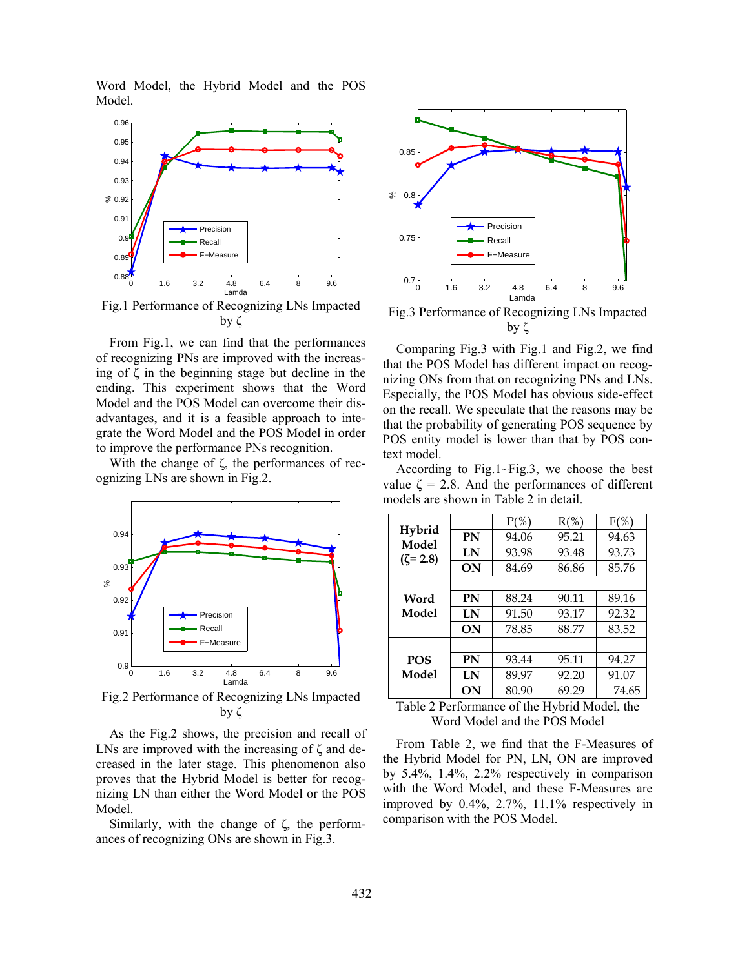Word Model, the Hybrid Model and the POS Model.



Fig.1 Performance of Recognizing LNs Impacted by ζ

From Fig.1, we can find that the performances of recognizing PNs are improved with the increasing of  $\zeta$  in the beginning stage but decline in the ending. This experiment shows that the Word Model and the POS Model can overcome their disadvantages, and it is a feasible approach to integrate the Word Model and the POS Model in order to improve the performance PNs recognition.

With the change of ζ, the performances of recognizing LNs are shown in Fig.2.



Fig.2 Performance of Recognizing LNs Impacted by ζ

As the Fig.2 shows, the precision and recall of LNs are improved with the increasing of  $\zeta$  and decreased in the later stage. This phenomenon also proves that the Hybrid Model is better for recognizing LN than either the Word Model or the POS Model.

Similarly, with the change of ζ, the performances of recognizing ONs are shown in Fig.3.



Fig.3 Performance of Recognizing LNs Impacted by ζ

Comparing Fig.3 with Fig.1 and Fig.2, we find that the POS Model has different impact on recognizing ONs from that on recognizing PNs and LNs. Especially, the POS Model has obvious side-effect on the recall. We speculate that the reasons may be that the probability of generating POS sequence by POS entity model is lower than that by POS context model.

According to Fig.1~Fig.3, we choose the best value  $\zeta = 2.8$ . And the performances of different models are shown in Table 2 in detail.

|                 |           | $P(\% )$ | $R(\%)$ | $F(\%)$ |
|-----------------|-----------|----------|---------|---------|
| Hybrid<br>Model | PN        | 94.06    | 95.21   | 94.63   |
| $(\zeta = 2.8)$ | LN        | 93.98    | 93.48   | 93.73   |
|                 | <b>ON</b> | 84.69    | 86.86   | 85.76   |
|                 |           |          |         |         |
| Word            | PN        | 88.24    | 90.11   | 89.16   |
| Model           | LN        | 91.50    | 93.17   | 92.32   |
|                 | <b>ON</b> | 78.85    | 88.77   | 83.52   |
|                 |           |          |         |         |
| <b>POS</b>      | PN        | 93.44    | 95.11   | 94.27   |
| Model           | LN        | 89.97    | 92.20   | 91.07   |
|                 | ON        | 80.90    | 69.29   | 74.65   |

Table 2 Performance of the Hybrid Model, the Word Model and the POS Model

From Table 2, we find that the F-Measures of the Hybrid Model for PN, LN, ON are improved by 5.4%, 1.4%, 2.2% respectively in comparison with the Word Model, and these F-Measures are improved by 0.4%, 2.7%, 11.1% respectively in comparison with the POS Model.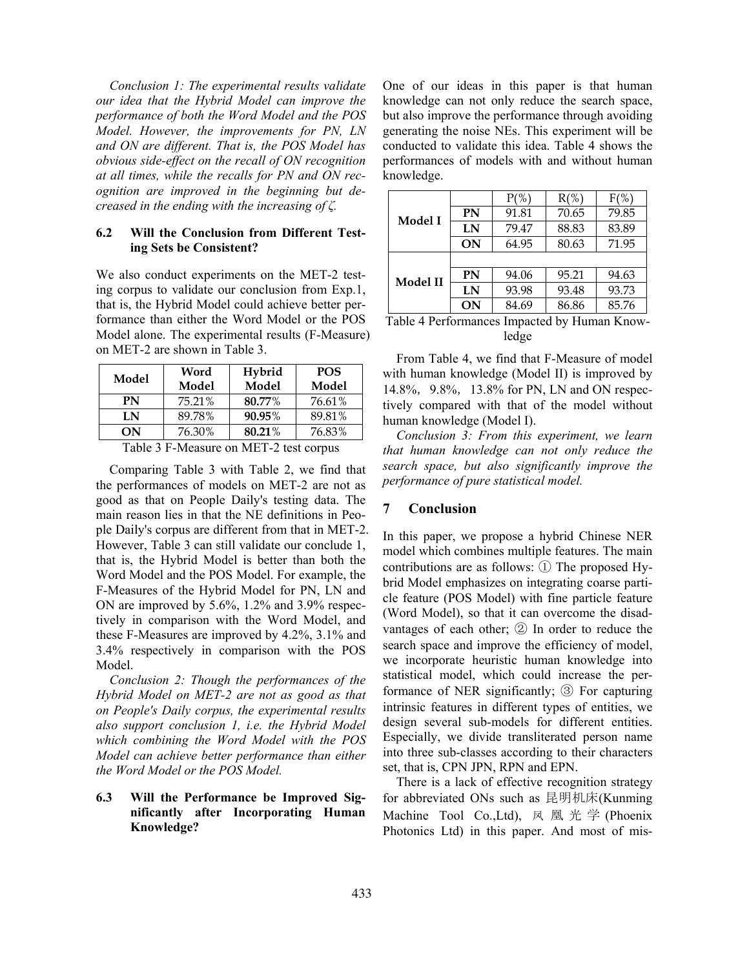*Conclusion 1: The experimental results validate our idea that the Hybrid Model can improve the performance of both the Word Model and the POS Model. However, the improvements for PN, LN and ON are different. That is, the POS Model has obvious side-effect on the recall of ON recognition at all times, while the recalls for PN and ON recognition are improved in the beginning but decreased in the ending with the increasing of ζ.* 

### **6.2 Will the Conclusion from Different Testing Sets be Consistent?**

We also conduct experiments on the MET-2 testing corpus to validate our conclusion from Exp.1, that is, the Hybrid Model could achieve better performance than either the Word Model or the POS Model alone. The experimental results (F-Measure) on MET-2 are shown in Table 3.

| Word   | Hybrid | <b>POS</b> |
|--------|--------|------------|
| Model  | Model  | Model      |
| 75.21% | 80.77% | 76.61%     |
| 89.78% | 90.95% | 89.81%     |
| 76.30% | 80.21% | 76.83%     |
|        |        |            |

Table 3 F-Measure on MET-2 test corpus

Comparing Table 3 with Table 2, we find that the performances of models on MET-2 are not as good as that on People Daily's testing data. The main reason lies in that the NE definitions in People Daily's corpus are different from that in MET-2. However, Table 3 can still validate our conclude 1, that is, the Hybrid Model is better than both the Word Model and the POS Model. For example, the F-Measures of the Hybrid Model for PN, LN and ON are improved by 5.6%, 1.2% and 3.9% respectively in comparison with the Word Model, and these F-Measures are improved by 4.2%, 3.1% and 3.4% respectively in comparison with the POS Model.

*Conclusion 2: Though the performances of the Hybrid Model on MET-2 are not as good as that on People's Daily corpus, the experimental results also support conclusion 1, i.e. the Hybrid Model which combining the Word Model with the POS Model can achieve better performance than either the Word Model or the POS Model.* 

## **6.3 Will the Performance be Improved Significantly after Incorporating Human Knowledge?**

One of our ideas in this paper is that human knowledge can not only reduce the search space, but also improve the performance through avoiding generating the noise NEs. This experiment will be conducted to validate this idea. Table 4 shows the performances of models with and without human knowledge.

| Model I                                      |           | $P(\% )$ | $R(\%)$ | $F(\%)$ |  |
|----------------------------------------------|-----------|----------|---------|---------|--|
|                                              | <b>PN</b> | 91.81    | 70.65   | 79.85   |  |
|                                              | LN        | 79.47    | 88.83   | 83.89   |  |
|                                              | ON        | 64.95    | 80.63   | 71.95   |  |
| Model II                                     |           |          |         |         |  |
|                                              | <b>PN</b> | 94.06    | 95.21   | 94.63   |  |
|                                              | LN        | 93.98    | 93.48   | 93.73   |  |
|                                              | ON        | 84.69    | 86.86   | 85.76   |  |
| Table 4 Performances Impacted by Human Know- |           |          |         |         |  |

ledge

From Table 4, we find that F-Measure of model with human knowledge (Model II) is improved by 14.8%, 9.8%, 13.8% for PN, LN and ON respectively compared with that of the model without human knowledge (Model I).

*Conclusion 3: From this experiment, we learn that human knowledge can not only reduce the search space, but also significantly improve the performance of pure statistical model.* 

# **7 Conclusion**

In this paper, we propose a hybrid Chinese NER model which combines multiple features. The main contributions are as follows:  $(1)$  The proposed Hybrid Model emphasizes on integrating coarse particle feature (POS Model) with fine particle feature (Word Model), so that it can overcome the disadvantages of each other; ② In order to reduce the search space and improve the efficiency of model, we incorporate heuristic human knowledge into statistical model, which could increase the performance of NER significantly; ③ For capturing intrinsic features in different types of entities, we design several sub-models for different entities. Especially, we divide transliterated person name into three sub-classes according to their characters set, that is, CPN JPN, RPN and EPN.

There is a lack of effective recognition strategy for abbreviated ONs such as 昆明机床(Kunming Machine Tool Co.,Ltd), 凤 凰 光 学 (Phoenix Photonics Ltd) in this paper. And most of mis-